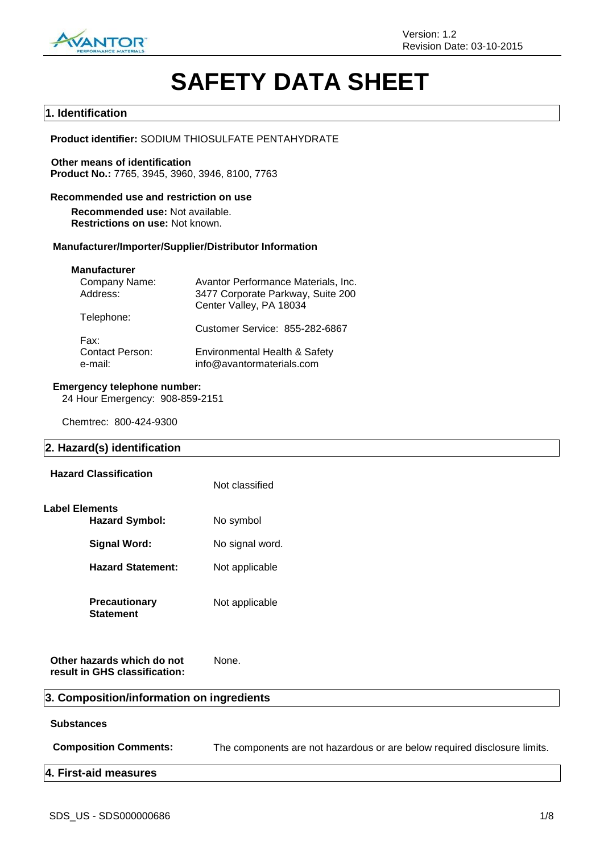

# **SAFETY DATA SHEET**

## **1. Identification**

**Product identifier:** SODIUM THIOSULFATE PENTAHYDRATE

**Other means of identification Product No.:** 7765, 3945, 3960, 3946, 8100, 7763

## **Recommended use and restriction on use Recommended use:** Not available.

**Restrictions on use:** Not known.

## **Manufacturer/Importer/Supplier/Distributor Information**

## **Manufacturer**

| Avantor Performance Materials, Inc.                        |
|------------------------------------------------------------|
| 3477 Corporate Parkway, Suite 200                          |
| Center Valley, PA 18034                                    |
|                                                            |
| Customer Service: 855-282-6867                             |
|                                                            |
| Environmental Health & Safety<br>info@avantormaterials.com |
|                                                            |

## **Emergency telephone number:**

24 Hour Emergency: 908-859-2151

Chemtrec: 800-424-9300

## **2. Hazard(s) identification**

| <b>Hazard Classification</b>             | Not classified  |
|------------------------------------------|-----------------|
| Label Elements<br><b>Hazard Symbol:</b>  | No symbol       |
| Signal Word:                             | No signal word. |
| <b>Hazard Statement:</b>                 | Not applicable  |
| <b>Precautionary</b><br><b>Statement</b> | Not applicable  |

**Other hazards which do not result in GHS classification:** None.

## **3. Composition/information on ingredients**

#### **Substances**

**Composition Comments:** The components are not hazardous or are below required disclosure limits.

## **4. First-aid measures**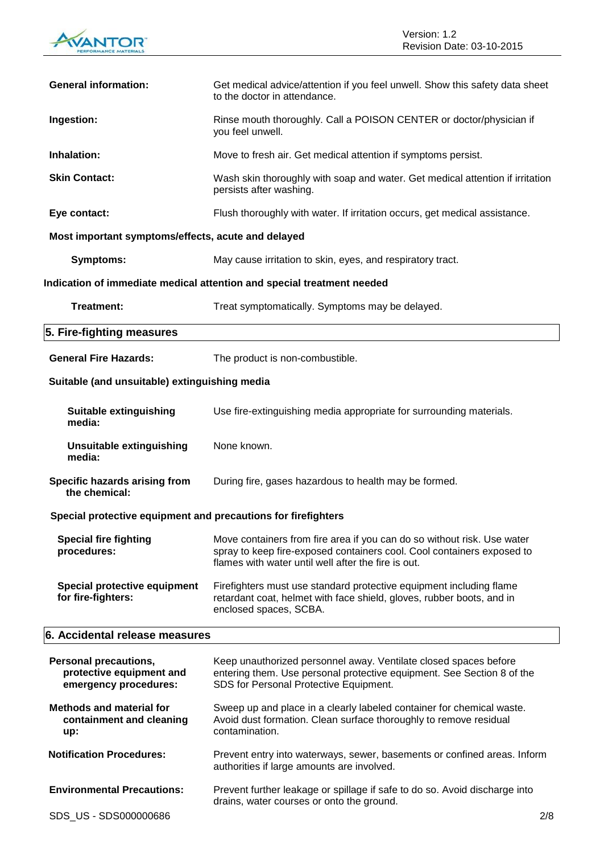

| <b>General information:</b>                                                       | Get medical advice/attention if you feel unwell. Show this safety data sheet<br>to the doctor in attendance.                                                                                             |
|-----------------------------------------------------------------------------------|----------------------------------------------------------------------------------------------------------------------------------------------------------------------------------------------------------|
| Ingestion:                                                                        | Rinse mouth thoroughly. Call a POISON CENTER or doctor/physician if<br>you feel unwell.                                                                                                                  |
| Inhalation:                                                                       | Move to fresh air. Get medical attention if symptoms persist.                                                                                                                                            |
| <b>Skin Contact:</b>                                                              | Wash skin thoroughly with soap and water. Get medical attention if irritation<br>persists after washing.                                                                                                 |
| Eye contact:                                                                      | Flush thoroughly with water. If irritation occurs, get medical assistance.                                                                                                                               |
| Most important symptoms/effects, acute and delayed                                |                                                                                                                                                                                                          |
| <b>Symptoms:</b>                                                                  | May cause irritation to skin, eyes, and respiratory tract.                                                                                                                                               |
|                                                                                   | Indication of immediate medical attention and special treatment needed                                                                                                                                   |
| <b>Treatment:</b>                                                                 | Treat symptomatically. Symptoms may be delayed.                                                                                                                                                          |
| 5. Fire-fighting measures                                                         |                                                                                                                                                                                                          |
| <b>General Fire Hazards:</b>                                                      | The product is non-combustible.                                                                                                                                                                          |
| Suitable (and unsuitable) extinguishing media                                     |                                                                                                                                                                                                          |
| <b>Suitable extinguishing</b><br>media:                                           | Use fire-extinguishing media appropriate for surrounding materials.                                                                                                                                      |
| <b>Unsuitable extinguishing</b><br>media:                                         | None known.                                                                                                                                                                                              |
| Specific hazards arising from<br>the chemical:                                    | During fire, gases hazardous to health may be formed.                                                                                                                                                    |
| Special protective equipment and precautions for firefighters                     |                                                                                                                                                                                                          |
| <b>Special fire fighting</b><br>procedures:                                       | Move containers from fire area if you can do so without risk. Use water<br>spray to keep fire-exposed containers cool. Cool containers exposed to<br>flames with water until well after the fire is out. |
| Special protective equipment<br>for fire-fighters:                                | Firefighters must use standard protective equipment including flame<br>retardant coat, helmet with face shield, gloves, rubber boots, and in<br>enclosed spaces, SCBA.                                   |
| 6. Accidental release measures                                                    |                                                                                                                                                                                                          |
| <b>Personal precautions,</b><br>protective equipment and<br>emergency procedures: | Keep unauthorized personnel away. Ventilate closed spaces before<br>entering them. Use personal protective equipment. See Section 8 of the<br>SDS for Personal Protective Equipment.                     |
| <b>Methods and material for</b><br>containment and cleaning<br>up:                | Sweep up and place in a clearly labeled container for chemical waste.<br>Avoid dust formation. Clean surface thoroughly to remove residual<br>contamination.                                             |
| <b>Notification Procedures:</b>                                                   | Prevent entry into waterways, sewer, basements or confined areas. Inform<br>authorities if large amounts are involved.                                                                                   |
| <b>Environmental Precautions:</b>                                                 | Prevent further leakage or spillage if safe to do so. Avoid discharge into<br>drains, water courses or onto the ground.                                                                                  |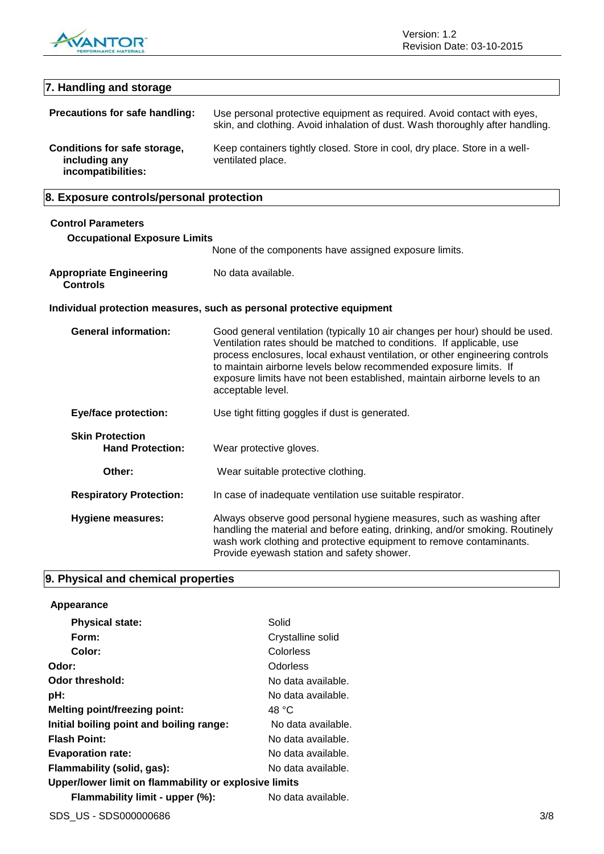

## **7. Handling and storage Precautions for safe handling:** Use personal protective equipment as required. Avoid contact with eyes, skin, and clothing. Avoid inhalation of dust. Wash thoroughly after handling. **Conditions for safe storage, including any incompatibilities:** Keep containers tightly closed. Store in cool, dry place. Store in a wellventilated place. **8. Exposure controls/personal protection Control Parameters Occupational Exposure Limits** None of the components have assigned exposure limits. **Appropriate Engineering Controls** No data available. **Individual protection measures, such as personal protective equipment General information:** Good general ventilation (typically 10 air changes per hour) should be used. Ventilation rates should be matched to conditions. If applicable, use process enclosures, local exhaust ventilation, or other engineering controls to maintain airborne levels below recommended exposure limits. If exposure limits have not been established, maintain airborne levels to an acceptable level. **Eye/face protection:** Use tight fitting goggles if dust is generated. **Skin Protection Hand Protection:** Wear protective gloves. **Other:** Wear suitable protective clothing. **Respiratory Protection:** In case of inadequate ventilation use suitable respirator. **Hygiene measures:** Always observe good personal hygiene measures, such as washing after handling the material and before eating, drinking, and/or smoking. Routinely wash work clothing and protective equipment to remove contaminants.

Provide eyewash station and safety shower.

## **9. Physical and chemical properties**

| Appearance                                            |                    |  |
|-------------------------------------------------------|--------------------|--|
| <b>Physical state:</b>                                | Solid              |  |
| Form:                                                 | Crystalline solid  |  |
| Color:                                                | Colorless          |  |
| Odor:                                                 | Odorless           |  |
| Odor threshold:                                       | No data available. |  |
| pH:                                                   | No data available. |  |
| <b>Melting point/freezing point:</b>                  | 48 °C              |  |
| Initial boiling point and boiling range:              | No data available. |  |
| <b>Flash Point:</b>                                   | No data available. |  |
| <b>Evaporation rate:</b>                              | No data available. |  |
| Flammability (solid, gas):                            | No data available. |  |
| Upper/lower limit on flammability or explosive limits |                    |  |
| Flammability limit - upper (%):                       | No data available. |  |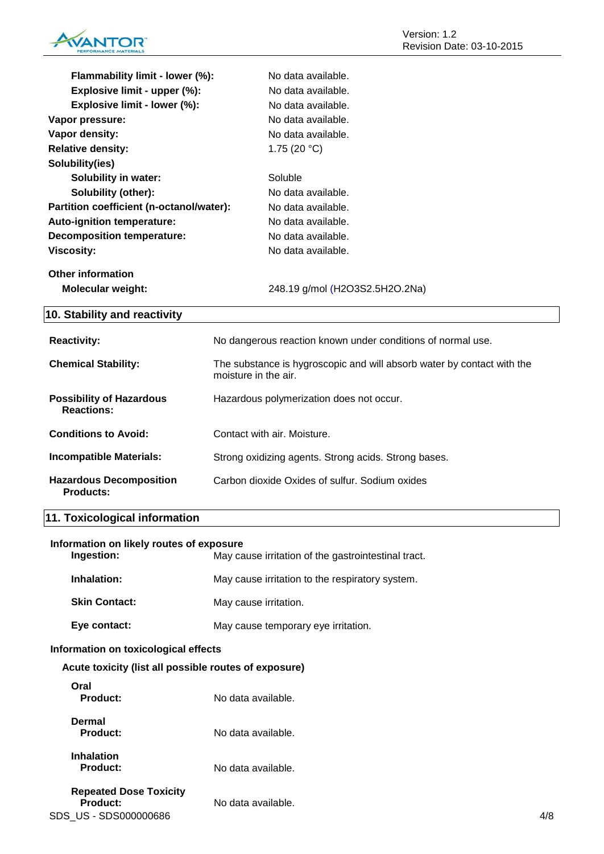

| Flammability limit - lower (%):                      | No data available.                                                                             |
|------------------------------------------------------|------------------------------------------------------------------------------------------------|
| Explosive limit - upper (%):                         | No data available.                                                                             |
| Explosive limit - lower (%):                         | No data available.                                                                             |
| Vapor pressure:                                      | No data available.                                                                             |
| Vapor density:                                       | No data available.                                                                             |
| <b>Relative density:</b>                             | 1.75 $(20 °C)$                                                                                 |
| Solubility(ies)                                      |                                                                                                |
| <b>Solubility in water:</b>                          | Soluble                                                                                        |
| Solubility (other):                                  | No data available.                                                                             |
| Partition coefficient (n-octanol/water):             | No data available.                                                                             |
| Auto-ignition temperature:                           | No data available.                                                                             |
| <b>Decomposition temperature:</b>                    | No data available.                                                                             |
| <b>Viscosity:</b>                                    | No data available.                                                                             |
| <b>Other information</b>                             |                                                                                                |
| Molecular weight:                                    | 248.19 g/mol (H2O3S2.5H2O.2Na)                                                                 |
| 10. Stability and reactivity                         |                                                                                                |
|                                                      |                                                                                                |
| <b>Reactivity:</b>                                   | No dangerous reaction known under conditions of normal use.                                    |
| <b>Chemical Stability:</b>                           | The substance is hygroscopic and will absorb water by contact with the<br>moisture in the air. |
| <b>Possibility of Hazardous</b><br><b>Reactions:</b> | Hazardous polymerization does not occur.                                                       |
| <b>Conditions to Avoid:</b>                          | Contact with air. Moisture.                                                                    |
| <b>Incompatible Materials:</b>                       | Strong oxidizing agents. Strong acids. Strong bases.                                           |
| <b>Hazardous Decomposition</b>                       | Carbon dioxide Oxides of sulfur. Sodium oxides                                                 |

# **11. Toxicological information**

| Information on likely routes of exposure<br>Ingestion:                    | May cause irritation of the gastrointestinal tract. |     |
|---------------------------------------------------------------------------|-----------------------------------------------------|-----|
| Inhalation:                                                               | May cause irritation to the respiratory system.     |     |
| <b>Skin Contact:</b>                                                      | May cause irritation.                               |     |
| Eye contact:                                                              | May cause temporary eye irritation.                 |     |
| Information on toxicological effects                                      |                                                     |     |
| Acute toxicity (list all possible routes of exposure)                     |                                                     |     |
| Oral<br><b>Product:</b>                                                   | No data available.                                  |     |
| <b>Dermal</b><br><b>Product:</b>                                          | No data available.                                  |     |
| <b>Inhalation</b><br><b>Product:</b>                                      | No data available.                                  |     |
| <b>Repeated Dose Toxicity</b><br><b>Product:</b><br>SDS US - SDS000000686 | No data available.                                  | 4/8 |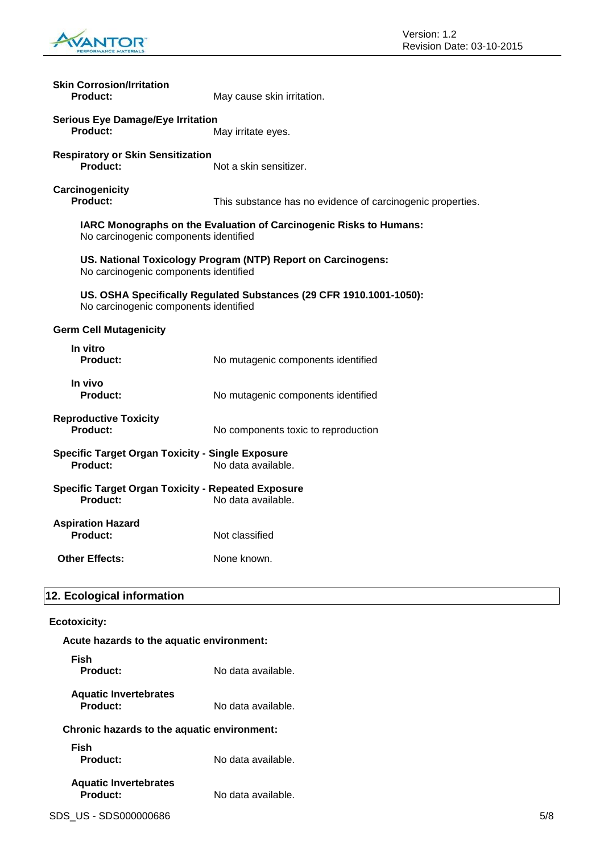

| <b>Skin Corrosion/Irritation</b><br><b>Product:</b>                          | May cause skin irritation.                                                |
|------------------------------------------------------------------------------|---------------------------------------------------------------------------|
| <b>Serious Eye Damage/Eye Irritation</b><br>Product:                         | May irritate eyes.                                                        |
| <b>Respiratory or Skin Sensitization</b><br><b>Product:</b>                  | Not a skin sensitizer.                                                    |
| Carcinogenicity<br>Product:                                                  | This substance has no evidence of carcinogenic properties.                |
| No carcinogenic components identified                                        | <b>IARC Monographs on the Evaluation of Carcinogenic Risks to Humans:</b> |
| No carcinogenic components identified                                        | US. National Toxicology Program (NTP) Report on Carcinogens:              |
| No carcinogenic components identified                                        | US. OSHA Specifically Regulated Substances (29 CFR 1910.1001-1050):       |
| <b>Germ Cell Mutagenicity</b>                                                |                                                                           |
| In vitro<br><b>Product:</b>                                                  | No mutagenic components identified                                        |
| In vivo<br><b>Product:</b>                                                   | No mutagenic components identified                                        |
| <b>Reproductive Toxicity</b><br>Product:                                     | No components toxic to reproduction                                       |
| <b>Specific Target Organ Toxicity - Single Exposure</b><br>Product:          | No data available.                                                        |
| <b>Specific Target Organ Toxicity - Repeated Exposure</b><br><b>Product:</b> | No data available.                                                        |
| <b>Aspiration Hazard</b><br><b>Product:</b>                                  | Not classified                                                            |
| <b>Other Effects:</b>                                                        | None known.                                                               |
| 12. Ecological information                                                   |                                                                           |
| <b>Ecotoxicity:</b>                                                          |                                                                           |
| Acute hazards to the aquatic environment:                                    |                                                                           |

| Fish<br>Product:                            | No data available. |
|---------------------------------------------|--------------------|
| <b>Aquatic Invertebrates</b><br>Product:    | No data available. |
| Chronic hazards to the aquatic environment: |                    |
| Fish<br>Product:                            | No data available. |
| <b>Aquatic Invertebrates</b><br>Product:    | No data available. |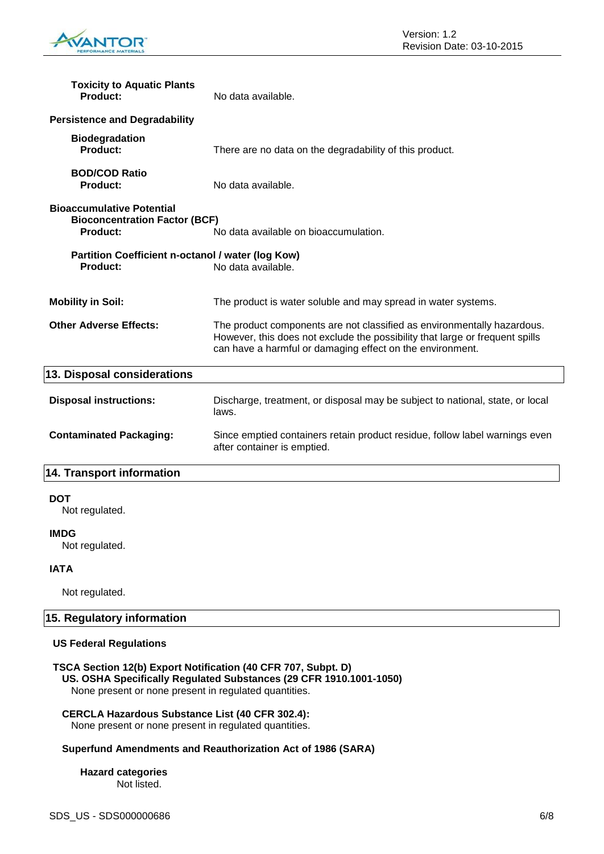

| <b>Toxicity to Aquatic Plants</b><br><b>Product:</b>                                        | No data available.                                                                                                                                                                                                   |
|---------------------------------------------------------------------------------------------|----------------------------------------------------------------------------------------------------------------------------------------------------------------------------------------------------------------------|
| <b>Persistence and Degradability</b>                                                        |                                                                                                                                                                                                                      |
| <b>Biodegradation</b><br><b>Product:</b>                                                    | There are no data on the degradability of this product.                                                                                                                                                              |
| <b>BOD/COD Ratio</b><br><b>Product:</b>                                                     | No data available.                                                                                                                                                                                                   |
| <b>Bioaccumulative Potential</b><br><b>Bioconcentration Factor (BCF)</b><br><b>Product:</b> | No data available on bioaccumulation.                                                                                                                                                                                |
| Partition Coefficient n-octanol / water (log Kow)<br><b>Product:</b>                        | No data available.                                                                                                                                                                                                   |
| <b>Mobility in Soil:</b>                                                                    | The product is water soluble and may spread in water systems.                                                                                                                                                        |
| <b>Other Adverse Effects:</b>                                                               | The product components are not classified as environmentally hazardous.<br>However, this does not exclude the possibility that large or frequent spills<br>can have a harmful or damaging effect on the environment. |
| 13. Disposal considerations                                                                 |                                                                                                                                                                                                                      |
| <b>Disposal instructions:</b>                                                               | Discharge, treatment, or disposal may be subject to national, state, or local<br>laws.                                                                                                                               |
| <b>Contaminated Packaging:</b>                                                              | Since emptied containers retain product residue, follow label warnings even<br>after container is emptied.                                                                                                           |
| 14. Transport information                                                                   |                                                                                                                                                                                                                      |
| <b>DOT</b><br>Not regulated.                                                                |                                                                                                                                                                                                                      |
| <b>IMDG</b><br>Not regulated.                                                               |                                                                                                                                                                                                                      |
| <b>IATA</b>                                                                                 |                                                                                                                                                                                                                      |

Not regulated.

## **15. Regulatory information**

## **US Federal Regulations**

## **TSCA Section 12(b) Export Notification (40 CFR 707, Subpt. D) US. OSHA Specifically Regulated Substances (29 CFR 1910.1001-1050)**

None present or none present in regulated quantities.

## **CERCLA Hazardous Substance List (40 CFR 302.4):**

None present or none present in regulated quantities.

## **Superfund Amendments and Reauthorization Act of 1986 (SARA)**

**Hazard categories** Not listed.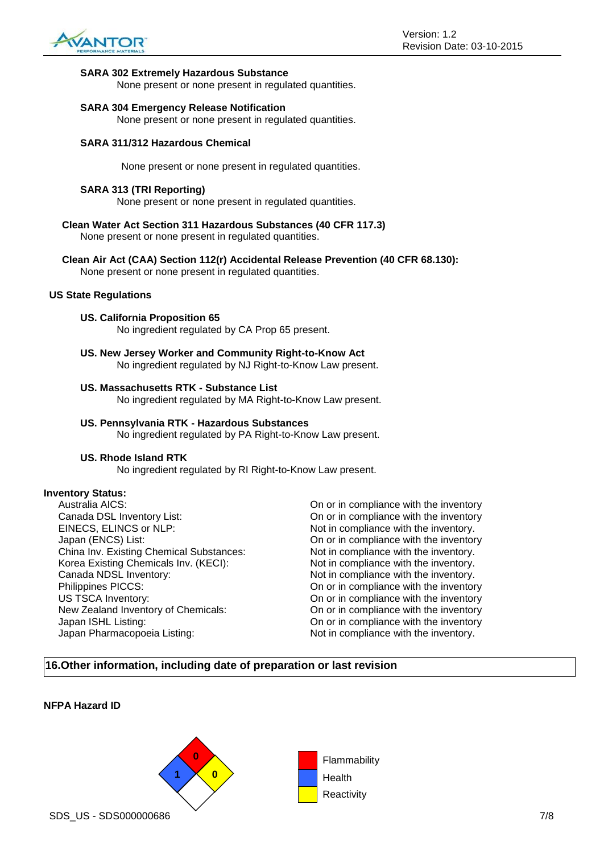

## **SARA 302 Extremely Hazardous Substance**

None present or none present in regulated quantities.

## **SARA 304 Emergency Release Notification**

None present or none present in regulated quantities.

## **SARA 311/312 Hazardous Chemical**

None present or none present in regulated quantities.

## **SARA 313 (TRI Reporting)**

None present or none present in regulated quantities.

- **Clean Water Act Section 311 Hazardous Substances (40 CFR 117.3)** None present or none present in regulated quantities.
- **Clean Air Act (CAA) Section 112(r) Accidental Release Prevention (40 CFR 68.130):** None present or none present in regulated quantities.

#### **US State Regulations**

**US. California Proposition 65**

No ingredient regulated by CA Prop 65 present.

**US. New Jersey Worker and Community Right-to-Know Act** No ingredient regulated by NJ Right-to-Know Law present.

## **US. Massachusetts RTK - Substance List**

No ingredient regulated by MA Right-to-Know Law present.

#### **US. Pennsylvania RTK - Hazardous Substances** No ingredient regulated by PA Right-to-Know Law present.

#### **US. Rhode Island RTK**

No ingredient regulated by RI Right-to-Know Law present.

## **Inventory Status:**

Australia AICS:<br>
Canada DSL Inventory List:<br>
On or in compliance with the inventory<br>
On or in compliance with the inventory EINECS, ELINCS or NLP: Not in compliance with the inventory. Japan (ENCS) List: On or in compliance with the inventory China Inv. Existing Chemical Substances: Not in compliance with the inventory. Korea Existing Chemicals Inv. (KECI): Not in compliance with the inventory. Canada NDSL Inventory:  $\blacksquare$  Not in compliance with the inventory. Philippines PICCS: On or in compliance with the inventory US TSCA Inventory: On or in compliance with the inventory New Zealand Inventory of Chemicals: On or in compliance with the inventory<br>Japan ISHL Listing: On or in compliance with the inventory Japan Pharmacopoeia Listing: Not in compliance with the inventory.

On or in compliance with the inventory On or in compliance with the inventory

## **16.Other information, including date of preparation or last revision**

## **NFPA Hazard ID**